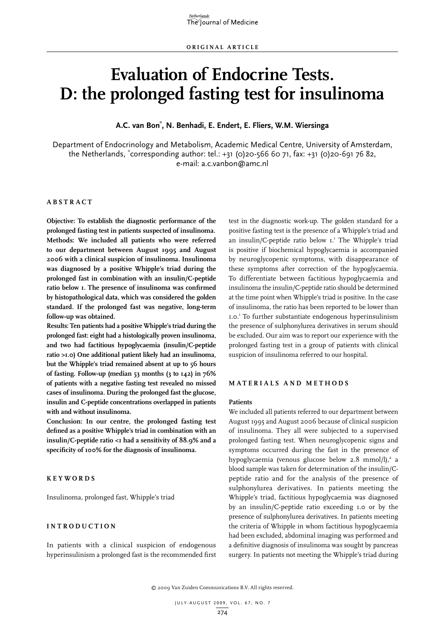# **Evaluation of Endocrine Tests. D: the prolonged fasting test for insulinoma**

**A.C. van Bon\* , N. Benhadi, E. Endert, E. Fliers, W.M. Wiersinga**

Department of Endocrinology and Metabolism, Academic Medical Centre, University of Amsterdam, the Netherlands, \* corresponding author: tel.: +31 (0)20-566 60 71, fax: +31 (0)20-691 76 82, e-mail: a.c.vanbon@amc.nl

# **A bstra c t**

**Objective: To establish the diagnostic performance of the prolonged fasting test in patients suspected of insulinoma. Methods: We included all patients who were referred to our department between August 1995 and August 2006 with a clinical suspicion of insulinoma. Insulinoma was diagnosed by a positive Whipple's triad during the prolonged fast in combination with an insulin/C-peptide ratio below 1. The presence of insulinoma was confirmed by histopathological data, which was considered the golden standard. If the prolonged fast was negative, long-term follow-up was obtained.**

**Results: Ten patients had a positive Whipple's triad during the prolonged fast: eight had a histologically proven insulinoma, and two had factitious hypoglycaemia (insulin/C-peptide ratio >1.0) One additional patient likely had an insulinoma, but the Whipple's triad remained absent at up to 56 hours of fasting. Follow-up (median 53 months (3 to 142) in 76% of patients with a negative fasting test revealed no missed cases of insulinoma. During the prolonged fast the glucose, insulin and C-peptide concentrations overlapped in patients with and without insulinoma.** 

**Conclusion: In our centre, the prolonged fasting test defined as a positive Whipple's triad in combination with an insulin/C-peptide ratio <1 had a sensitivity of 88.9% and a specificity of 100% for the diagnosis of insulinoma.** 

# **Key w ords**

Insulinoma, prolonged fast, Whipple's triad

## **I ntrod uc tion**

In patients with a clinical suspicion of endogenous hyperinsulinism a prolonged fast is the recommended first test in the diagnostic work-up. The golden standard for a positive fasting test is the presence of a Whipple's triad and an insulin/C-peptide ratio below I.<sup>1</sup> The Whipple's triad is positive if biochemical hypoglycaemia is accompanied by neuroglycopenic symptoms, with disappearance of these symptoms after correction of the hypoglycaemia. To differentiate between factitious hypoglycaemia and insulinoma the insulin/C-peptide ratio should be determined at the time point when Whipple's triad is positive. In the case of insulinoma, the ratio has been reported to be lower than 1.0.1 To further substantiate endogenous hyperinsulinism the presence of sulphonylurea derivatives in serum should be excluded. Our aim was to report our experience with the prolonged fasting test in a group of patients with clinical suspicion of insulinoma referred to our hospital.

# **M aterials and met h ods**

## **Patients**

We included all patients referred to our department between August 1995 and August 2006 because of clinical suspicion of insulinoma. They all were subjected to a supervised prolonged fasting test. When neuroglycopenic signs and symptoms occurred during the fast in the presence of hypoglycaemia (venous glucose below 2.8 mmol/l),<sup>2</sup> a blood sample was taken for determination of the insulin/Cpeptide ratio and for the analysis of the presence of sulphonylurea derivatives. In patients meeting the Whipple's triad, factitious hypoglycaemia was diagnosed by an insulin/C-peptide ratio exceeding 1.0 or by the presence of sulphonylurea derivatives. In patients meeting the criteria of Whipple in whom factitious hypoglycaemia had been excluded, abdominal imaging was performed and a definitive diagnosis of insulinoma was sought by pancreas surgery. In patients not meeting the Whipple's triad during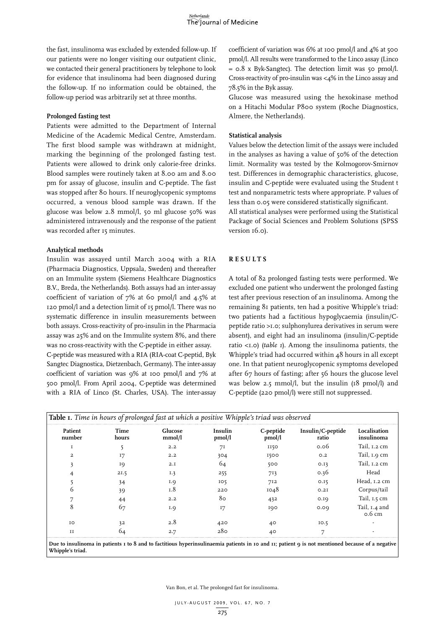the fast, insulinoma was excluded by extended follow-up. If our patients were no longer visiting our outpatient clinic, we contacted their general practitioners by telephone to look for evidence that insulinoma had been diagnosed during the follow-up. If no information could be obtained, the follow-up period was arbitrarily set at three months.

## **Prolonged fasting test**

Patients were admitted to the Department of Internal Medicine of the Academic Medical Centre, Amsterdam. The first blood sample was withdrawn at midnight, marking the beginning of the prolonged fasting test. Patients were allowed to drink only calorie-free drinks. Blood samples were routinely taken at 8.00 am and 8.00 pm for assay of glucose, insulin and C-peptide. The fast was stopped after 80 hours. If neuroglycopenic symptoms occurred, a venous blood sample was drawn. If the glucose was below 2.8 mmol/l, 50 ml glucose 50% was administered intravenously and the response of the patient was recorded after 15 minutes.

## **Analytical methods**

Insulin was assayed until March 2004 with a RIA (Pharmacia Diagnostics, Uppsala, Sweden) and thereafter on an Immulite system (Siemens Healthcare Diagnostics B.V., Breda, the Netherlands). Both assays had an inter-assay coefficient of variation of 7% at 60 pmol/l and 4.5% at 120 pmol/l and a detection limit of 15 pmol/l. There was no systematic difference in insulin measurements between both assays. Cross-reactivity of pro-insulin in the Pharmacia assay was 25% and on the Immulite system 8%, and there was no cross-reactivity with the C-peptide in either assay.

C-peptide was measured with a RIA (RIA-coat C-peptid, Byk Sangtec Diagnostica, Dietzenbach, Germany). The inter-assay coefficient of variation was 9% at 100 pmol/l and 7% at 500 pmol/l. From April 2004, C-peptide was determined with a RIA of Linco (St. Charles, USA). The inter-assay coefficient of variation was 6% at 100 pmol/l and 4% at 500 pmol/l. All results were transformed to the Linco assay (Linco = 0.8 x Byk-Sangtec). The detection limit was 50 pmol/l. Cross-reactivity of pro-insulin was <4% in the Linco assay and 78.5% in the Byk assay.

Glucose was measured using the hexokinase method on a Hitachi Modular P800 system (Roche Diagnostics, Almere, the Netherlands).

## **Statistical analysis**

Values below the detection limit of the assays were included in the analyses as having a value of 50% of the detection limit. Normality was tested by the Kolmogorov-Smirnov test. Differences in demographic characteristics, glucose, insulin and C-peptide were evaluated using the Student t test and nonparametric tests where appropriate. P values of less than 0.05 were considered statistically significant. All statistical analyses were performed using the Statistical Package of Social Sciences and Problem Solutions (SPSS version 16.0).

#### **R e s u lts**

A total of 82 prolonged fasting tests were performed. We excluded one patient who underwent the prolonged fasting test after previous resection of an insulinoma. Among the remaining 81 patients, ten had a positive Whipple's triad: two patients had a factitious hypoglycaemia (insulin/Cpeptide ratio >1.0; sulphonylurea derivatives in serum were absent), and eight had an insulinoma (insulin/C-peptide ratio <1.0) (*table 1*). Among the insulinoma patients, the Whipple's triad had occurred within 48 hours in all except one. In that patient neuroglycopenic symptoms developed after 67 hours of fasting; after 56 hours the glucose level was below 2.5 mmol/l, but the insulin (18 pmol/l) and C-peptide (220 pmol/l) were still not suppressed.

| Patient<br>number       | Time<br>hours | Glucose<br>mmol/l | Insulin<br>pmol/l | C-peptide<br>pmol/l | Insulin/C-peptide<br>ratio | Localisation<br>insulinoma        |
|-------------------------|---------------|-------------------|-------------------|---------------------|----------------------------|-----------------------------------|
|                         |               | 2.2               | 71                | II50                | 0.06                       | Tail, 1.2 cm                      |
| $\overline{\mathbf{2}}$ | 17            | 2.2               | 304               | 1500                | O.2                        | Tail, 1.9 cm                      |
|                         | 19            | 2.1               | 64                | 500                 | 0.13                       | Tail, 1.2 cm                      |
|                         | 21.5          | I.3               | 255               | 713                 | 0.36                       | Head                              |
|                         | 34            | I.9               | IO <sub>5</sub>   | 712                 | 0.15                       | Head, 1.2 cm                      |
|                         | 39            | 1.8               | 220               | 1048                | O.2I                       | Corpus/tail                       |
|                         | 44            | 2.2               | 80                | 432                 | 0.19                       | Tail, 1.5 cm                      |
| x                       | 67            | I.9               | 17                | 100                 | 0.00                       | Tail, 1.4 and<br>$0.6 \text{ cm}$ |
| TO                      | 32            | 2.8               | 420               | 40                  | IO.5                       |                                   |
| II                      | O4            | 2.7               | 280               | 40                  |                            |                                   |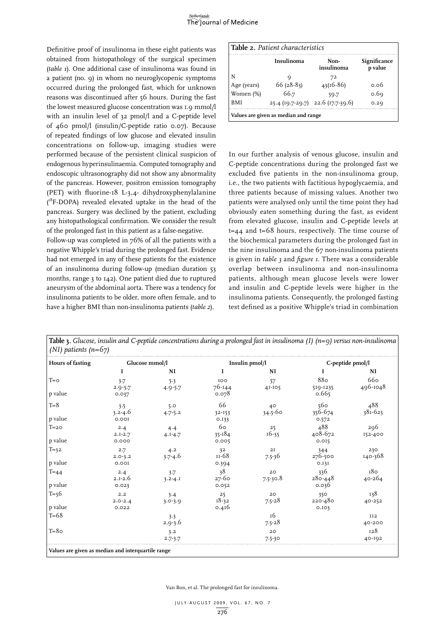Definitive proof of insulinoma in these eight patients was obtained from histopathology of the surgical specimen (*table 1*). One additional case of insulinoma was found in a patient (no. 9) in whom no neuroglycopenic symptoms occurred during the prolonged fast, which for unknown reasons was discontinued after 56 hours. During the fast the lowest measured glucose concentration was 1.9 mmol/l with an insulin level of 32 pmol/l and a C-peptide level of 460 pmol/l (insulin/C-peptide ratio 0.07). Because of repeated findings of low glucose and elevated insulin concentrations on follow-up, imaging studies were performed because of the persistent clinical suspicion of endogenous hyperinsulinaemia. Computed tomography and endoscopic ultrasonography did not show any abnormality of the pancreas. However, positron emission tomography (PET) with fluorine-18 L-3,4- dihydroxyphenylalanine (<sup>18</sup>F-DOPA) revealed elevated uptake in the head of the pancreas. Surgery was declined by the patient, excluding any histopathological confirmation. We consider the result of the prolonged fast in this patient as a false-negative.

Follow-up was completed in 76% of all the patients with a negative Whipple's triad during the prolonged fast. Evidence had not emerged in any of these patients for the existence of an insulinoma during follow-up (median duration 53 months, range 3 to 142). One patient died due to ruptured aneurysm of the abdominal aorta. There was a tendency for insulinoma patients to be older, more often female, and to have a higher BMI than non-insulinoma patients (*table 2*).

|             | <b>Insulinoma</b> | Non-<br>insulinoma                | Significance<br>p value |
|-------------|-------------------|-----------------------------------|-------------------------|
|             |                   | 72                                |                         |
| Age (years) | $66(28-83)$       | $43(16-86)$                       | o o6                    |
| Women (%)   | 66.7              | 59.7                              | 0.69                    |
| <b>BMI</b>  |                   | 25.4 (19.7-29.7) 22.6 (17.7-39.6) | 0.29                    |

In our further analysis of venous glucose, insulin and C-peptide concentrations during the prolonged fast we excluded five patients in the non-insulinoma group, i.e., the two patients with factitious hypoglycaemia, and three patients because of missing values. Another two patients were analysed only until the time point they had obviously eaten something during the fast, as evident from elevated glucose, insulin and C-peptide levels at t=44 and t=68 hours, respectively. The time course of the biochemical parameters during the prolonged fast in the nine insulinoma and the 67 non-insulinoma patients is given in *table 3* and *figure 1*. There was a considerable overlap between insulinoma and non-insulinoma patients, although mean glucose levels were lower and insulin and C-peptide levels were higher in the insulinoma patients. Consequently, the prolonged fasting test defined as a positive Whipple's triad in combination

| <b>Hours of fasting</b> | Glucose mmol/l              |                    | Insulin pmol/l            |                             | $C$ -peptide $pmol/l$       |                      |
|-------------------------|-----------------------------|--------------------|---------------------------|-----------------------------|-----------------------------|----------------------|
|                         | I                           | NI                 | I                         | NI                          |                             | NI                   |
| $T = 0$                 | 3.7<br>$2.9 - 5.7$          | 5.3<br>$4.9 - 5.7$ | IOO<br>76-144             | 57<br>41-105                | 880<br>519-1235             | 660<br>496-1048      |
| p value                 | 0.037                       |                    | 0.078                     |                             | 0.665                       |                      |
| $T = 8$<br>p value      | 3.5<br>$3.2 - 4.6$<br>0.00I | 5.0<br>$4.7 - 5.2$ | 66<br>$32 - 153$<br>0.133 | $40^{\circ}$<br>34.5-60     | 560<br>356-674<br>0.572     | 488<br>381-625       |
| $T = 20$<br>p value     | 2.4<br>$2.I-2.7$<br>0.000   | 4.4<br>$4.1 - 4.7$ | 60<br>$35 - 184$<br>0.005 | 25<br>16-35                 | 488<br>408-672<br>0.015     | 296<br>152-400       |
| $T=32$<br>p value       | 2.7<br>$2.0 - 3.2$<br>0.00I | 4.2<br>$3.7 - 4.6$ | 32<br>II-68<br>0.394      | 2I<br>$7.5 - 36$            | 344<br>276-500<br>0.131     | 230<br>140-368       |
| $T=44$<br>p value       | 2.4<br>$2.1 - 2.6$<br>0.023 | 3.7<br>$3.2 - 4.1$ | 38<br>27-60<br>0.052      | 20<br>$7.5 - 30.8$          | 336<br>$280 - 448$<br>0.036 | 180<br>40-264        |
| $T = 56$<br>p value     | 2.2<br>$2.0 - 2.4$<br>0.022 | 3.4<br>$3.0 - 3.9$ | 25<br>18-32<br>0.416      | 20<br>$7.5 - 28$            | 350<br>220-480<br>0.103     | 138<br>40-252        |
| $T=68$                  |                             | 3.3<br>$2.9 - 3.6$ |                           | <sup>16</sup><br>$7.5 - 28$ |                             | <b>II2</b><br>40-200 |
| $T = 80$                |                             | 3.2<br>$2.7 - 3.7$ |                           | 20<br>$7.5 - 30$            |                             | 128<br>40-192        |

**Table 3.** *Glucose, insulin and C-peptide concentrations during a prolonged fast in insulinoma (I) (n=9) versus non-insulinoma*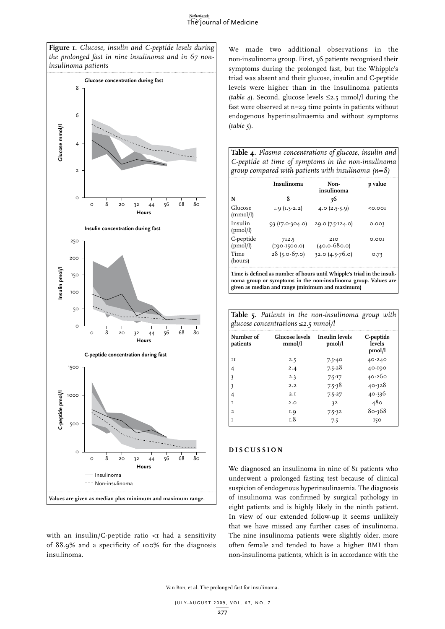#### Netherlands The Journal of Medicine

*the prolonged fast in nine insulinoma and in 67 noninsulinoma patients* **Glucose concentration during fast** 8 6 Clucose mmol/l **Glucose mmol/l** 4 2  $\Omega$ 0 8 20 32 44 56 68 80 **Hours Insulin concentration during fast** 250 200 Insulin pmol/I **Insulin pmol/l** 150 100 50  $\Omega$ 0 8 20 32 44 56 68 80 **Hours C-peptide concentration during fast** 1500 **C-peptide pmol/l**  :-peptide pmol/l 1000 500  $\Omega$ 0 8 20 32 44 56 68 80 **Hours** - Insulinoma Non-insulinoma **Values are given as median plus minimum and maximum range.**

**Figure 1.** *Glucose, insulin and C-peptide levels during* 

with an insulin/C-peptide ratio  $\lt$ I had a sensitivity of 88.9% and a specificity of 100% for the diagnosis insulinoma.

We made two additional observations in the non-insulinoma group. First, 36 patients recognised their symptoms during the prolonged fast, but the Whipple's triad was absent and their glucose, insulin and C-peptide levels were higher than in the insulinoma patients (*table 4*). Second, glucose levels ≤2.5 mmol/l during the fast were observed at n=29 time points in patients without endogenous hyperinsulinaemia and without symptoms (*table 5*).

| Table 4. Plasma concentrations of glucose, insulin and |
|--------------------------------------------------------|
| C-peptide at time of symptoms in the non-insulinoma    |
| group compared with patients with insulinoma $(n=8)$   |

|                       | Insulinoma                | Non-<br>insulinoma                                                      | p value |
|-----------------------|---------------------------|-------------------------------------------------------------------------|---------|
| N                     | 8                         | 36                                                                      |         |
| Glucose<br>(mmol/l)   | $I.9 (I.3-2.2)$           | 4.0 $(2.5-5.9)$                                                         | < 0.001 |
| Insulin<br>(pmol/l)   | $93(17.0-304.0)$          | 29.0 (7.5-124.0)                                                        | 0.003   |
| C-peptide<br>(pmol/l) | 712.5<br>$(190 - 1500.0)$ | 2T <sub>O</sub><br>$(40.0 - 680.0)$                                     | 0.001   |
| Time<br>(hours)       | $28(5.0-67.0)$            | $32.0$ $(4.5-76.0)$                                                     | 0.73    |
|                       |                           | Time is defined as number of hours until Whipple's triad in the insuli- |         |

**noma group or symptoms in the non-insulinoma group. Values are given as median and range (minimum and maximum)**

|                                          |  | Table 5. Patients in the non-insulinoma group with |  |
|------------------------------------------|--|----------------------------------------------------|--|
| glucose concentrations $\leq$ 2.5 mmol/l |  |                                                    |  |

| Number of<br>patients | <b>Glucose levels</b><br>mmol/l | Insulin levels<br>pmol/l | C-peptide<br>levels<br>pmol/l |
|-----------------------|---------------------------------|--------------------------|-------------------------------|
| и                     | 2.5                             | $7.5 - 40$               | 40-240                        |
| 4                     | 2.4                             | $7.5 - 28$               | 40-190                        |
| 3                     | 2.3                             | $7.5 - 17$               | 40-260                        |
| 3                     | 2.2                             | $7.5 - 38$               | 40-328                        |
| 4                     | 2.I                             | $7.5 - 27$               | 40-336                        |
| $\mathbf I$           | 2.0                             | 3 <sup>2</sup>           | 480                           |
| $\overline{a}$        | I.Q                             | $7.5 - 32$               | $80 - 368$                    |
| T                     | 1.8                             | 7.5                      | 150                           |

# **D i s cu ssion**

We diagnosed an insulinoma in nine of 81 patients who underwent a prolonged fasting test because of clinical suspicion of endogenous hyperinsulinaemia. The diagnosis of insulinoma was confirmed by surgical pathology in eight patients and is highly likely in the ninth patient. In view of our extended follow-up it seems unlikely that we have missed any further cases of insulinoma. The nine insulinoma patients were slightly older, more often female and tended to have a higher BMI than non-insulinoma patients, which is in accordance with the